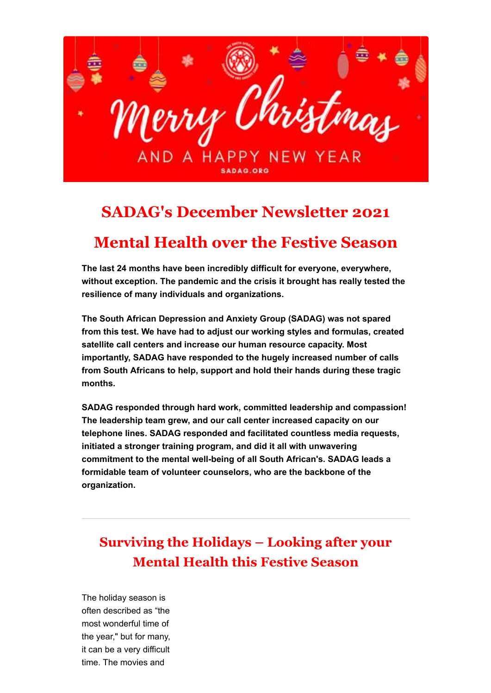

# **SADAG's December Newsletter 2021**

# **Mental Health over the Festive Season**

**The last 24 months have been incredibly difficult for everyone, everywhere, without exception. The pandemic and the crisis it brought has really tested the resilience of many individuals and organizations.**

**The South African Depression and Anxiety Group (SADAG) was not spared from this test. We have had to adjust our working styles and formulas, created satellite call centers and increase our human resource capacity. Most importantly, SADAG have responded to the hugely increased number of calls from South Africans to help, support and hold their hands during these tragic months.**

**SADAG responded through hard work, committed leadership and compassion! The leadership team grew, and our call center increased capacity on our telephone lines. SADAG responded and facilitated countless media requests, initiated a stronger training program, and did it all with unwavering commitment to the mental well-being of all South African's. SADAG leads a formidable team of volunteer counselors, who are the backbone of the organization.**

## **Surviving the Holidays – Looking after your Mental Health this Festive Season**

The holiday season is often described as "the most wonderful time of the year," but for many, it can be a very difficult time. The movies and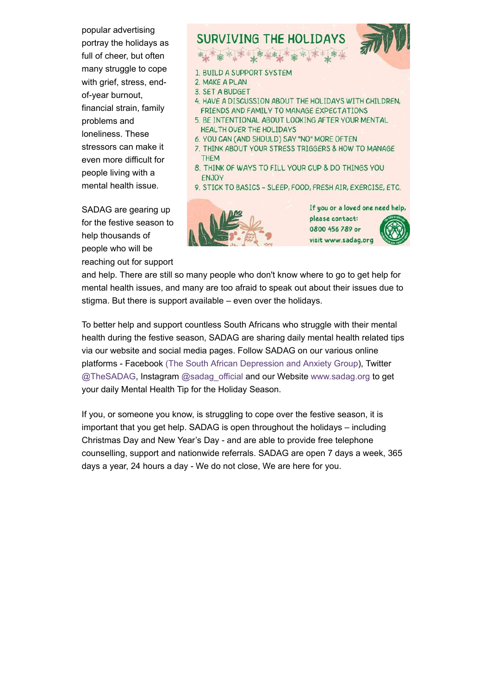popular advertising portray the holidays as full of cheer, but often many struggle to cope with grief, stress, endof-year burnout, financial strain, family problems and loneliness. These stressors can make it even more difficult for people living with a mental health issue.

SADAG are gearing up for the festive season to help thousands of people who will be reaching out for support

#### **SURVIVING THE HOLIDAYS** 1. BUILD A SUPPORT SYSTEM 2. MAKE A PLAN 3. SET A BUDGET 4. HAVE A DISCUSSION ABOUT THE HOLIDAYS WITH CHILDREN, FRIENDS AND FAMILY TO MANAGE EXPECTATIONS 5. BE INTENTIONAL ABOUT LOOKING AFTER YOUR MENTAL HEALTH OVER THE HOLIDAYS

- 6. YOU CAN (AND SHOULD) SAY "NO" MORE OFTEN
- 7. THINK ABOUT YOUR STRESS TRIGGERS & HOW TO MANAGE **THEM**
- 8. THINK OF WAYS TO FILL YOUR CUP & DO THINGS YOU ENJOY
- 9. STICK TO BASICS SLEEP, FOOD, FRESH AIR, EXERCISE, ETC.



If you or a loved one need help, please contact: 0800 456 789 or visit www.sadag.org

and help. There are still so many people who don't know where to go to get help for mental health issues, and many are too afraid to speak out about their issues due to stigma. But there is support available – even over the holidays.

To better help and support countless South Africans who struggle with their mental health during the festive season, SADAG are sharing daily mental health related tips via our website and social media pages. Follow SADAG on our various online platforms - Facebook [\(The South African Depression and Anxiety Group](https://www.facebook.com/TheSADAG)), Twitter [@TheSADAG,](https://twitter.com/TheSADAG) Instagram [@sadag\\_official](https://www.instagram.com/sadag_official/) and our Website [www.sadag.org](https://www.sadag.org/index.php?option=com_content&view=article&id=1897&Itemid=101) to get your daily Mental Health Tip for the Holiday Season.

If you, or someone you know, is struggling to cope over the festive season, it is important that you get help. SADAG is open throughout the holidays – including Christmas Day and New Year's Day - and are able to provide free telephone counselling, support and nationwide referrals. SADAG are open 7 days a week, 365 days a year, 24 hours a day - We do not close, We are here for you.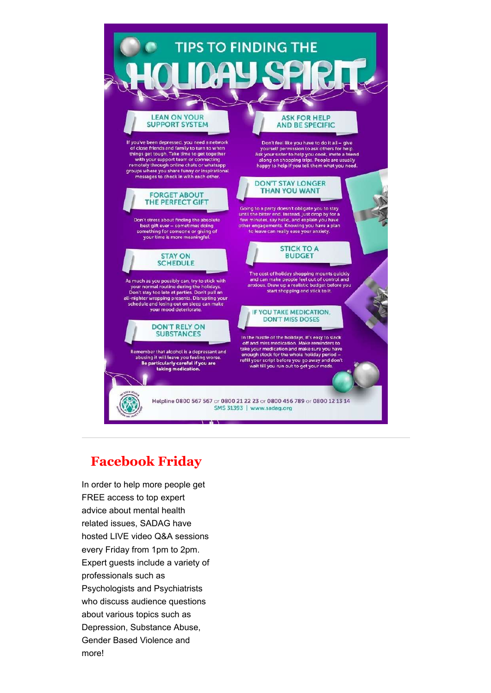

### **Facebook Friday**

In order to help more people get FREE access to top expert advice about mental health related issues, SADAG have hosted LIVE video Q&A sessions every Friday from 1pm to 2pm. Expert guests include a variety of professionals such as Psychologists and Psychiatrists who discuss audience questions about various topics such as Depression, Substance Abuse, Gender Based Violence and more!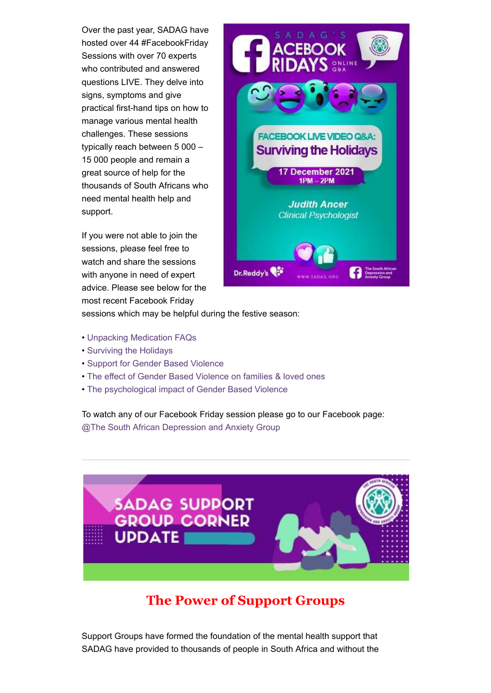Over the past year, SADAG have hosted over 44 #FacebookFriday Sessions with over 70 experts who contributed and answered questions LIVE. They delve into signs, symptoms and give practical first-hand tips on how to manage various mental health challenges. These sessions typically reach between 5 000 – 15 000 people and remain a great source of help for the thousands of South Africans who need mental health help and support.

If you were not able to join the sessions, please feel free to watch and share the sessions with anyone in need of expert advice. Please see below for the most recent Facebook Friday



sessions which may be helpful during the festive season:

- [Unpacking Medication FAQs](https://web.facebook.com/TheSADAG/videos/955923568465900/)
- [Surviving the Holidays](https://web.facebook.com/TheSADAG/videos/1161808044626359/)
- [Support for Gender Based Violence](https://web.facebook.com/TheSADAG/videos/2698689980276649/)
- [The effect of Gender Based Violence on families & loved ones](https://web.facebook.com/TheSADAG/videos/299912788700400/)
- [The psychological impact of Gender Based Violence](https://web.facebook.com/TheSADAG/videos/3209410576000092/)

To watch any of our Facebook Friday session please go to our Facebook page: [@The South African Depression and Anxiety Group](https://www.facebook.com/TheSADAG)



### **The Power of Support Groups**

Support Groups have formed the foundation of the mental health support that SADAG have provided to thousands of people in South Africa and without the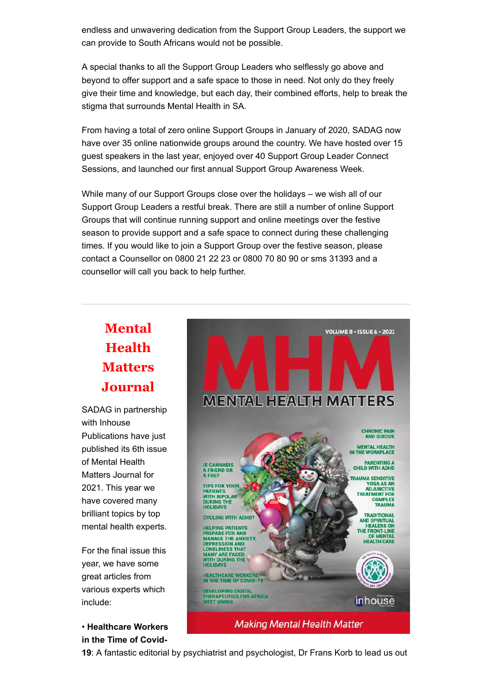endless and unwavering dedication from the Support Group Leaders, the support we can provide to South Africans would not be possible.

A special thanks to all the Support Group Leaders who selflessly go above and beyond to offer support and a safe space to those in need. Not only do they freely give their time and knowledge, but each day, their combined efforts, help to break the stigma that surrounds Mental Health in SA.

From having a total of zero online Support Groups in January of 2020, SADAG now have over 35 online nationwide groups around the country. We have hosted over 15 guest speakers in the last year, enjoyed over 40 Support Group Leader Connect Sessions, and launched our first annual Support Group Awareness Week.

While many of our Support Groups close over the holidays – we wish all of our Support Group Leaders a restful break. There are still a number of online Support Groups that will continue running support and online meetings over the festive season to provide support and a safe space to connect during these challenging times. If you would like to join a Support Group over the festive season, please contact a Counsellor on 0800 21 22 23 or 0800 70 80 90 or sms 31393 and a counsellor will call you back to help further.

# **Mental Health Matters Journal**

SADAG in partnership with Inhouse Publications have just published its 6th issue of Mental Health Matters Journal for 2021. This year we have covered many brilliant topics by top mental health experts.

For the final issue this year, we have some great articles from various experts which include:

• **Healthcare Workers in the Time of Covid-**



**19**: A fantastic editorial by psychiatrist and psychologist, Dr Frans Korb to lead us out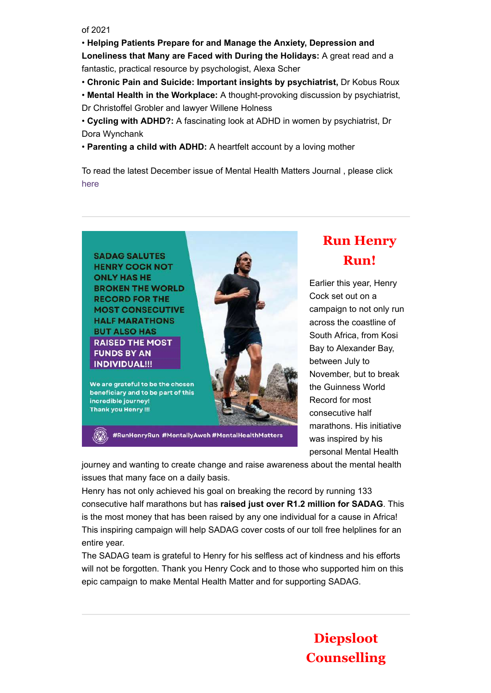of 2021

• **Helping Patients Prepare for and Manage the Anxiety, Depression and Loneliness that Many are Faced with During the Holidays:** A great read and a fantastic, practical resource by psychologist, Alexa Scher

- **Chronic Pain and Suicide: Important insights by psychiatrist,** Dr Kobus Roux
- **Mental Health in the Workplace:** A thought-provoking discussion by psychiatrist, Dr Christoffel Grobler and lawyer Willene Holness
- **Cycling with ADHD?:** A fascinating look at ADHD in women by psychiatrist, Dr Dora Wynchank
- **Parenting a child with ADHD:** A heartfelt account by a loving mother

To read the latest December issue of Mental Health Matters Journal , please click [here](https://www.sadag.org/index.php?option=com_content&view=article&id=3115&Itemid=500)



# **Run Henry Run!**

Earlier this year, Henry Cock set out on a campaign to not only run across the coastline of South Africa, from Kosi Bay to Alexander Bay, between July to November, but to break the Guinness World Record for most consecutive half marathons. His initiative was inspired by his personal Mental Health

**Diepsloot**

**Counselling**

journey and wanting to create change and raise awareness about the mental health issues that many face on a daily basis.

Henry has not only achieved his goal on breaking the record by running 133 consecutive half marathons but has **raised just over R1.2 million for SADAG**. This is the most money that has been raised by any one individual for a cause in Africa! This inspiring campaign will help SADAG cover costs of our toll free helplines for an entire year.

The SADAG team is grateful to Henry for his selfless act of kindness and his efforts will not be forgotten. Thank you Henry Cock and to those who supported him on this epic campaign to make Mental Health Matter and for supporting SADAG.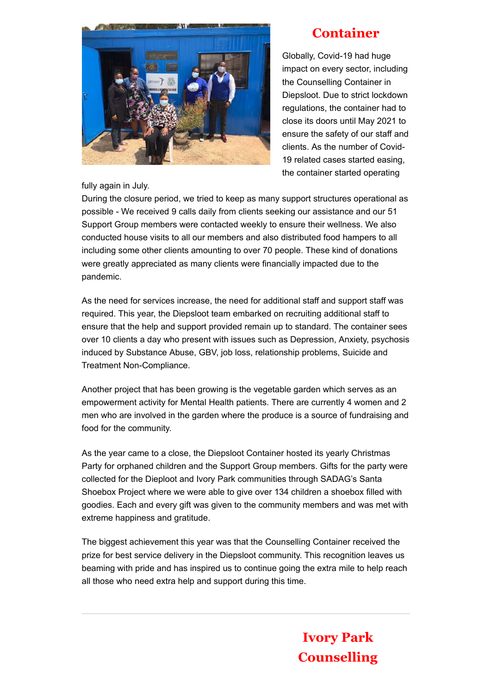

### **Container**

Globally, Covid-19 had huge impact on every sector, including the Counselling Container in Diepsloot. Due to strict lockdown regulations, the container had to close its doors until May 2021 to ensure the safety of our staff and clients. As the number of Covid-19 related cases started easing, the container started operating

fully again in July.

During the closure period, we tried to keep as many support structures operational as possible - We received 9 calls daily from clients seeking our assistance and our 51 Support Group members were contacted weekly to ensure their wellness. We also conducted house visits to all our members and also distributed food hampers to all including some other clients amounting to over 70 people. These kind of donations were greatly appreciated as many clients were financially impacted due to the pandemic.

As the need for services increase, the need for additional staff and support staff was required. This year, the Diepsloot team embarked on recruiting additional staff to ensure that the help and support provided remain up to standard. The container sees over 10 clients a day who present with issues such as Depression, Anxiety, psychosis induced by Substance Abuse, GBV, job loss, relationship problems, Suicide and Treatment Non-Compliance.

Another project that has been growing is the vegetable garden which serves as an empowerment activity for Mental Health patients. There are currently 4 women and 2 men who are involved in the garden where the produce is a source of fundraising and food for the community.

As the year came to a close, the Diepsloot Container hosted its yearly Christmas Party for orphaned children and the Support Group members. Gifts for the party were collected for the Dieploot and Ivory Park communities through SADAG's Santa Shoebox Project where we were able to give over 134 children a shoebox filled with goodies. Each and every gift was given to the community members and was met with extreme happiness and gratitude.

The biggest achievement this year was that the Counselling Container received the prize for best service delivery in the Diepsloot community. This recognition leaves us beaming with pride and has inspired us to continue going the extra mile to help reach all those who need extra help and support during this time.

> **Ivory Park Counselling**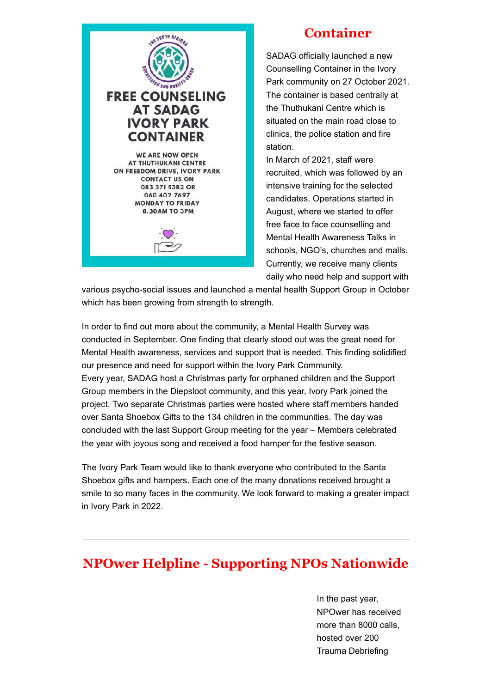

### **Container**

SADAG officially launched a new Counselling Container in the Ivory Park community on 27 October 2021. The container is based centrally at the Thuthukani Centre which is situated on the main road close to clinics, the police station and fire station.

In March of 2021, staff were recruited, which was followed by an intensive training for the selected candidates. Operations started in August, where we started to offer free face to face counselling and Mental Health Awareness Talks in schools, NGO's, churches and malls. Currently, we receive many clients daily who need help and support with

various psycho-social issues and launched a mental health Support Group in October which has been growing from strength to strength.

In order to find out more about the community, a Mental Health Survey was conducted in September. One finding that clearly stood out was the great need for Mental Health awareness, services and support that is needed. This finding solidified our presence and need for support within the Ivory Park Community. Every year, SADAG host a Christmas party for orphaned children and the Support Group members in the Diepsloot community, and this year, Ivory Park joined the project. Two separate Christmas parties were hosted where staff members handed over Santa Shoebox Gifts to the 134 children in the communities. The day was concluded with the last Support Group meeting for the year – Members celebrated the year with joyous song and received a food hamper for the festive season.

The Ivory Park Team would like to thank everyone who contributed to the Santa Shoebox gifts and hampers. Each one of the many donations received brought a smile to so many faces in the community. We look forward to making a greater impact in Ivory Park in 2022.

### **NPOwer Helpline - Supporting NPOs Nationwide**

In the past year, NPOwer has received more than 8000 calls, hosted over 200 Trauma Debriefing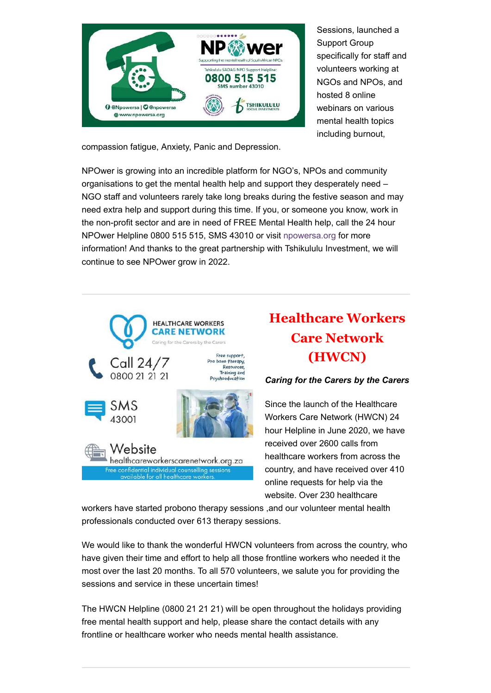

Sessions, launched a Support Group specifically for staff and volunteers working at NGOs and NPOs, and hosted 8 online webinars on various mental health topics including burnout,

compassion fatigue, Anxiety, Panic and Depression.

NPOwer is growing into an incredible platform for NGO's, NPOs and community organisations to get the mental health help and support they desperately need – NGO staff and volunteers rarely take long breaks during the festive season and may need extra help and support during this time. If you, or someone you know, work in the non-profit sector and are in need of FREE Mental Health help, call the 24 hour NPOwer Helpline 0800 515 515, SMS 43010 or visit [npowersa.org](https://www.npowersa.org/) for more information! And thanks to the great partnership with Tshikululu Investment, we will continue to see NPOwer grow in 2022.



# **Healthcare Workers Care Network (HWCN)**

#### *Caring for the Carers by the Carers*

Since the launch of the Healthcare Workers Care Network (HWCN) 24 hour Helpline in June 2020, we have received over 2600 calls from healthcare workers from across the country, and have received over 410 online requests for help via the website. Over 230 healthcare

workers have started probono therapy sessions ,and our volunteer mental health professionals conducted over 613 therapy sessions.

We would like to thank the wonderful HWCN volunteers from across the country, who have given their time and effort to help all those frontline workers who needed it the most over the last 20 months. To all 570 volunteers, we salute you for providing the sessions and service in these uncertain times!

The HWCN Helpline (0800 21 21 21) will be open throughout the holidays providing free mental health support and help, please share the contact details with any frontline or healthcare worker who needs mental health assistance.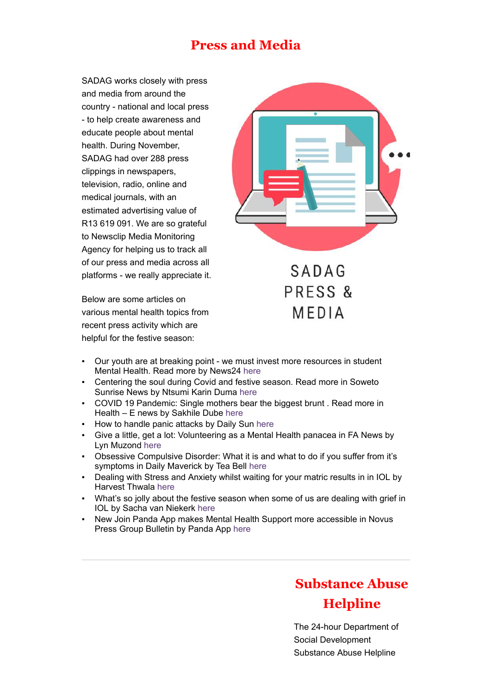### **Press and Media**

SADAG works closely with press and media from around the country - national and local press - to help create awareness and educate people about mental health. During November, SADAG had over 288 press clippings in newspapers, television, radio, online and medical journals, with an estimated advertising value of R13 619 091. We are so grateful to Newsclip Media Monitoring Agency for helping us to track all of our press and media across all platforms - we really appreciate it.

Below are some articles on various mental health topics from recent press activity which are helpful for the festive season:



- Our youth are at breaking point we must invest more resources in student Mental Health. Read more by News24 [here](https://www.news24.com/parent/family/parenting/opinion-our-youth-are-at-breaking-point-we-must-invest-more-resources-in-student-mental-health-20211112)
- Centering the soul during Covid and festive season. Read more in Soweto Sunrise News by Ntsumi Karin Duma [here](http://sowetosunrisenews.co.za/2021/12/16/centering-the-soul-during-covid-and-festive-season/)
- COVID 19 Pandemic: Single mothers bear the biggest brunt . Read more in Health – E news by Sakhile Dube [here](https://health-e.org.za/2021/11/16/covid-19-pandemic-single-mothers-bear-the-biggest-brunt/)
- How to handle panic attacks by Daily Sun [here](https://www.dailysun.co.za/LIfestyle/HANDLE-YOUR-PANIC-ATTACKS-20150713)
- Give a little, get a lot: Volunteering as a Mental Health panacea in FA News by Lyn Muzond [here](https://www.fanews.co.za/article/views-letters-interviews-comments/18/all/1102/give-a-little-get-a-lot-volunteering-as-a-mental-health-panacea/33430)
- Obsessive Compulsive Disorder: What it is and what to do if you suffer from it's symptoms in Daily Maverick by Tea Bell [here](https://www.dailymaverick.co.za/article/2021-11-26-obsessive-compulsive-disorder-what-it-is-and-what-to-do-if-you-suffer-from-its-symptoms/?=)
- Dealing with Stress and Anxiety whilst waiting for your matric results in in IOL by Harvest Thwala [here](https://www.iol.co.za/education/schools/dealing-with-stress-and-anxiety-whilst-waiting-for-your-matric-results-ea46ba11-7796-413c-8af4-5a42cc842181)
- What's so jolly about the festive season when some of us are dealing with grief in IOL by Sacha van Niekerk [here](https://www.iol.co.za/lifestyle/health/mind/whats-so-jolly-about-the-festive-season-when-some-of-us-are-dealing-with-grief-c8fcf387-8c09-46eb-a2d8-0633c0e40829)
- New Join Panda App makes Mental Health Support more accessible in Novus Press Group Bulletin by Panda App [here](https://novuspressbulletin.co.za/blog/new-join-panda-app-makes-mental-health-support-more-accessible)

## **Substance Abuse Helpline**

The 24-hour Department of Social Development Substance Abuse Helpline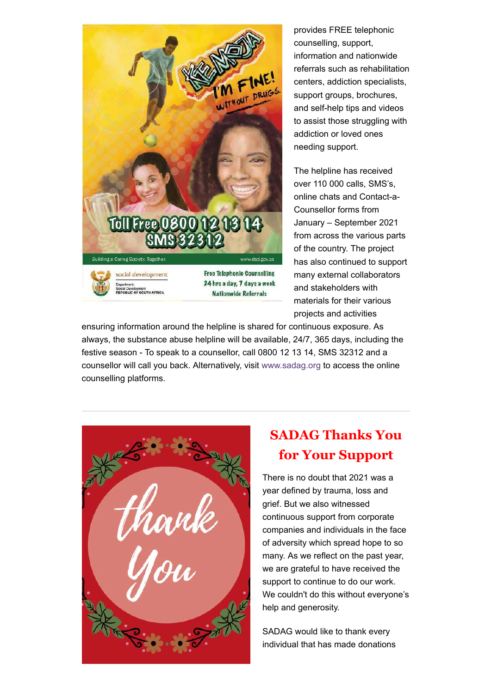

provides FREE telephonic counselling, support, information and nationwide referrals such as rehabilitation centers, addiction specialists, support groups, brochures, and self-help tips and videos to assist those struggling with addiction or loved ones needing support.

The helpline has received over 110 000 calls, SMS's, online chats and Contact-a-Counsellor forms from January – September 2021 from across the various parts of the country. The project has also continued to support many external collaborators and stakeholders with materials for their various projects and activities

ensuring information around the helpline is shared for continuous exposure. As always, the substance abuse helpline will be available, 24/7, 365 days, including the festive season - To speak to a counsellor, call 0800 12 13 14, SMS 32312 and a counsellor will call you back. Alternatively, visit [www.sadag.org](https://www.sadag.org/index.php?option=com_content&view=article&id=1897&Itemid=101) to access the online counselling platforms.



### **SADAG Thanks You for Your Support**

There is no doubt that 2021 was a year defined by trauma, loss and grief. But we also witnessed continuous support from corporate companies and individuals in the face of adversity which spread hope to so many. As we reflect on the past year, we are grateful to have received the support to continue to do our work. We couldn't do this without everyone's help and generosity.

SADAG would like to thank every individual that has made donations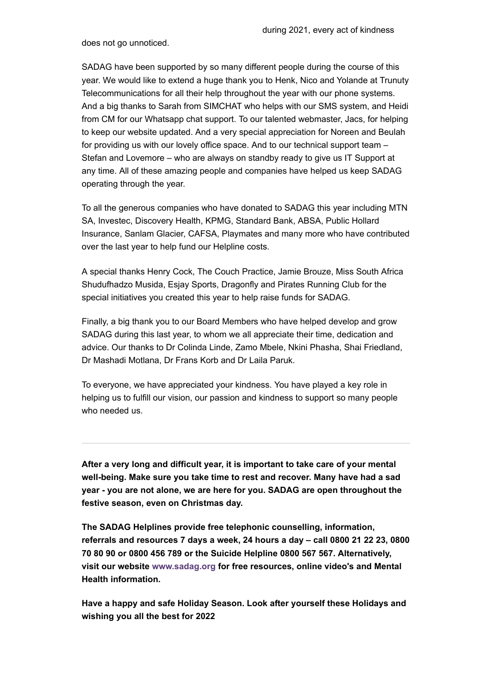does not go unnoticed.

SADAG have been supported by so many different people during the course of this year. We would like to extend a huge thank you to Henk, Nico and Yolande at Trunuty Telecommunications for all their help throughout the year with our phone systems. And a big thanks to Sarah from SIMCHAT who helps with our SMS system, and Heidi from CM for our Whatsapp chat support. To our talented webmaster, Jacs, for helping to keep our website updated. And a very special appreciation for Noreen and Beulah for providing us with our lovely office space. And to our technical support team – Stefan and Lovemore – who are always on standby ready to give us IT Support at any time. All of these amazing people and companies have helped us keep SADAG operating through the year.

To all the generous companies who have donated to SADAG this year including MTN SA, Investec, Discovery Health, KPMG, Standard Bank, ABSA, Public Hollard Insurance, Sanlam Glacier, CAFSA, Playmates and many more who have contributed over the last year to help fund our Helpline costs.

A special thanks Henry Cock, The Couch Practice, Jamie Brouze, Miss South Africa Shudufhadzo Musida, Esjay Sports, Dragonfly and Pirates Running Club for the special initiatives you created this year to help raise funds for SADAG.

Finally, a big thank you to our Board Members who have helped develop and grow SADAG during this last year, to whom we all appreciate their time, dedication and advice. Our thanks to Dr Colinda Linde, Zamo Mbele, Nkini Phasha, Shai Friedland, Dr Mashadi Motlana, Dr Frans Korb and Dr Laila Paruk.

To everyone, we have appreciated your kindness. You have played a key role in helping us to fulfill our vision, our passion and kindness to support so many people who needed us.

**After a very long and difficult year, it is important to take care of your mental well-being. Make sure you take time to rest and recover. Many have had a sad year - you are not alone, we are here for you. SADAG are open throughout the festive season, even on Christmas day.**

**The SADAG Helplines provide free telephonic counselling, information, referrals and resources 7 days a week, 24 hours a day – call 0800 21 22 23, 0800 70 80 90 or 0800 456 789 or the Suicide Helpline 0800 567 567. Alternatively, visit our website [www.sadag.org](https://www.sadag.org/index.php?option=com_content&view=article&id=1897&Itemid=101) for free resources, online video's and Mental Health information.**

**Have a happy and safe Holiday Season. Look after yourself these Holidays and wishing you all the best for 2022**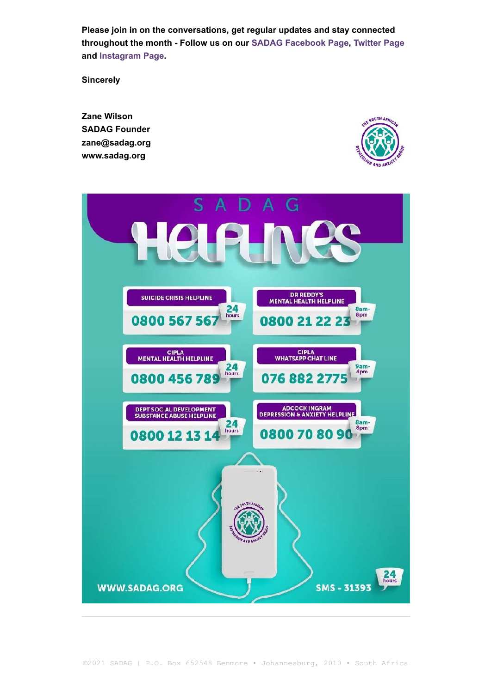**Please join in on the conversations, get regular updates and stay connected throughout the month - Follow us on our [SADAG Facebook Page](https://www.facebook.com/TheSADAG), [Twitter Page](https://twitter.com/TheSADAG) and [Instagram Page.](https://www.instagram.com/sadag_official/?hl=en)**

**Sincerely**

**Zane Wilson SADAG Founder zane@sadag.org www.sadag.org**